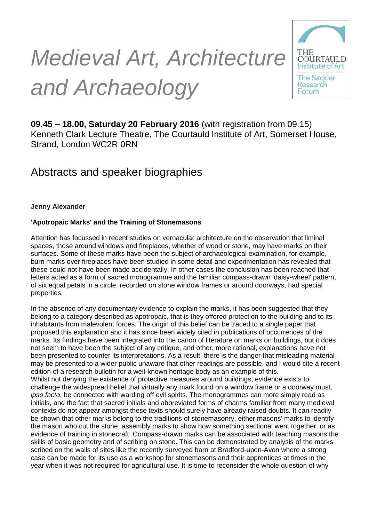# *Medieval Art, Architecture and Archaeology*



**09.45 – 18.00, Saturday 20 February 2016** (with registration from 09.15) Kenneth Clark Lecture Theatre, The Courtauld Institute of Art, Somerset House, Strand, London WC2R 0RN

# Abstracts and speaker biographies

**Jenny Alexander**

# **'Apotropaic Marks' and the Training of Stonemasons**

Attention has focussed in recent studies on vernacular architecture on the observation that liminal spaces, those around windows and fireplaces, whether of wood or stone, may have marks on their surfaces. Some of these marks have been the subject of archaeological examination, for example, burn marks over fireplaces have been studied in some detail and experimentation has revealed that these could not have been made accidentally. In other cases the conclusion has been reached that letters acted as a form of sacred monogramme and the familiar compass-drawn 'daisy-wheel' pattern, of six equal petals in a circle, recorded on stone window frames or around doorways, had special properties.

In the absence of any documentary evidence to explain the marks, it has been suggested that they belong to a category described as apotropaic, that is they offered protection to the building and to its inhabitants from malevolent forces. The origin of this belief can be traced to a single paper that proposed this explanation and it has since been widely cited in publications of occurrences of the marks. Its findings have been integrated into the canon of literature on marks on buildings, but it does not seem to have been the subject of any critique, and other, more rational, explanations have not been presented to counter its interpretations. As a result, there is the danger that misleading material may be presented to a wider public unaware that other readings are possible, and I would cite a recent edition of a research bulletin for a well-known heritage body as an example of this. Whilst not denying the existence of protective measures around buildings, evidence exists to challenge the widespread belief that virtually any mark found on a window frame or a doorway must, *ipso facto*, be connected with warding off evil spirits. The monogrammes can more simply read as initials, and the fact that sacred initials and abbreviated forms of charms familiar from many medieval contexts do not appear amongst these texts should surely have already raised doubts. It can readily be shown that other marks belong to the traditions of stonemasonry, either masons' marks to identify the mason who cut the stone, assembly marks to show how something sectional went together, or as evidence of training in stonecraft. Compass-drawn marks can be associated with teaching masons the skills of basic geometry and of scribing on stone. This can be demonstrated by analysis of the marks scribed on the walls of sites like the recently surveyed barn at Bradford-upon-Avon where a strong case can be made for its use as a workshop for stonemasons and their apprentices at times in the year when it was not required for agricultural use. It is time to reconsider the whole question of why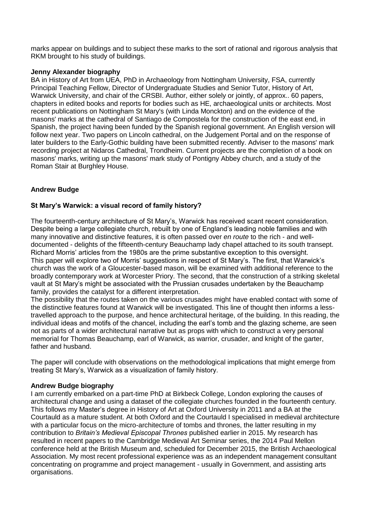marks appear on buildings and to subject these marks to the sort of rational and rigorous analysis that RKM brought to his study of buildings.

# **Jenny Alexander biography**

BA in History of Art from UEA, PhD in Archaeology from Nottingham University, FSA, currently Principal Teaching Fellow, Director of Undergraduate Studies and Senior Tutor, History of Art, Warwick University, and chair of the CRSBI. Author, either solely or jointly, of approx.. 60 papers, chapters in edited books and reports for bodies such as HE, archaeological units or architects. Most recent publications on Nottingham St Mary's (with Linda Monckton) and on the evidence of the masons' marks at the cathedral of Santiago de Compostela for the construction of the east end, in Spanish, the project having been funded by the Spanish regional government. An English version will follow next year. Two papers on Lincoln cathedral, on the Judgement Portal and on the response of later builders to the Early-Gothic building have been submitted recently. Adviser to the masons' mark recording project at Nidaros Cathedral, Trondheim. Current projects are the completion of a book on masons' marks, writing up the masons' mark study of Pontigny Abbey church, and a study of the Roman Stair at Burghley House.

# **Andrew Budge**

# **St Mary's Warwick: a visual record of family history?**

The fourteenth-century architecture of St Mary's, Warwick has received scant recent consideration. Despite being a large collegiate church, rebuilt by one of England's leading noble families and with many innovative and distinctive features, it is often passed over *en route* to the rich - and welldocumented - delights of the fifteenth-century Beauchamp lady chapel attached to its south transept. Richard Morris' articles from the 1980s are the prime substantive exception to this oversight. This paper will explore two of Morris' suggestions in respect of St Mary's. The first, that Warwick's church was the work of a Gloucester-based mason, will be examined with additional reference to the broadly contemporary work at Worcester Priory. The second, that the construction of a striking skeletal vault at St Mary's might be associated with the Prussian crusades undertaken by the Beauchamp family, provides the catalyst for a different interpretation.

The possibility that the routes taken on the various crusades might have enabled contact with some of the distinctive features found at Warwick will be investigated. This line of thought then informs a lesstravelled approach to the purpose, and hence architectural heritage, of the building. In this reading, the individual ideas and motifs of the chancel, including the earl's tomb and the glazing scheme, are seen not as parts of a wider architectural narrative but as props with which to construct a very personal memorial for Thomas Beauchamp, earl of Warwick, as warrior, crusader, and knight of the garter, father and husband.

The paper will conclude with observations on the methodological implications that might emerge from treating St Mary's, Warwick as a visualization of family history.

#### **Andrew Budge biography**

I am currently embarked on a part-time PhD at Birkbeck College, London exploring the causes of architectural change and using a dataset of the collegiate churches founded in the fourteenth century. This follows my Master's degree in History of Art at Oxford University in 2011 and a BA at the Courtauld as a mature student. At both Oxford and the Courtauld I specialised in medieval architecture with a particular focus on the micro-architecture of tombs and thrones, the latter resulting in my contribution to *Britain's Medieval Episcopal Thrones* published earlier in 2015. My research has resulted in recent papers to the Cambridge Medieval Art Seminar series, the 2014 Paul Mellon conference held at the British Museum and, scheduled for December 2015, the British Archaeological Association. My most recent professional experience was as an independent management consultant concentrating on programme and project management - usually in Government, and assisting arts organisations.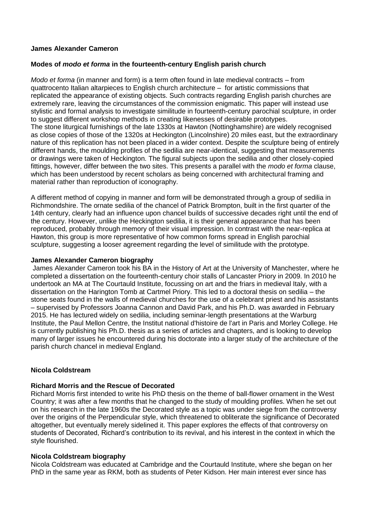# **James Alexander Cameron**

# **Modes of** *modo et forma* **in the fourteenth-century English parish church**

*Modo et forma* (in manner and form) is a term often found in late medieval contracts – from quattrocento Italian altarpieces to English church architecture – for artistic commissions that replicated the appearance of existing objects. Such contracts regarding English parish churches are extremely rare, leaving the circumstances of the commission enigmatic. This paper will instead use stylistic and formal analysis to investigate similitude in fourteenth-century parochial sculpture, in order to suggest different workshop methods in creating likenesses of desirable prototypes. The stone liturgical furnishings of the late 1330s at Hawton (Nottinghamshire) are widely recognised as close copies of those of the 1320s at Heckington (Lincolnshire) 20 miles east, but the extraordinary nature of this replication has not been placed in a wider context. Despite the sculpture being of entirely different hands, the moulding profiles of the sedilia are near-identical, suggesting that measurements or drawings were taken of Heckington. The figural subjects upon the sedilia and other closely-copied fittings, however, differ between the two sites. This presents a parallel with the *modo et forma* clause, which has been understood by recent scholars as being concerned with architectural framing and material rather than reproduction of iconography.

A different method of copying in manner and form will be demonstrated through a group of sedilia in Richmondshire. The ornate sedilia of the chancel of Patrick Brompton, built in the first quarter of the 14th century, clearly had an influence upon chancel builds of successive decades right until the end of the century. However, unlike the Heckington sedilia, it is their general appearance that has been reproduced, probably through memory of their visual impression. In contrast with the near-replica at Hawton, this group is more representative of how common forms spread in English parochial sculpture, suggesting a looser agreement regarding the level of similitude with the prototype.

# **James Alexander Cameron biography**

James Alexander Cameron took his BA in the History of Art at the University of Manchester, where he completed a dissertation on the fourteenth-century choir stalls of Lancaster Priory in 2009. In 2010 he undertook an MA at The Courtauld Institute, focussing on art and the friars in medieval Italy, with a dissertation on the Harington Tomb at Cartmel Priory. This led to a doctoral thesis on sedilia – the stone seats found in the walls of medieval churches for the use of a celebrant priest and his assistants – supervised by Professors Joanna Cannon and David Park, and his Ph.D. was awarded in February 2015. He has lectured widely on sedilia, including seminar-length presentations at the Warburg Institute, the Paul Mellon Centre, the Institut national d'histoire de l'art in Paris and Morley College. He is currently publishing his Ph.D. thesis as a series of articles and chapters, and is looking to develop many of larger issues he encountered during his doctorate into a larger study of the architecture of the parish church chancel in medieval England.

# **Nicola Coldstream**

# **Richard Morris and the Rescue of Decorated**

Richard Morris first intended to write his PhD thesis on the theme of ball-flower ornament in the West Country; it was after a few months that he changed to the study of moulding profiles. When he set out on his research in the late 1960s the Decorated style as a topic was under siege from the controversy over the origins of the Perpendicular style, which threatened to obliterate the significance of Decorated altogether, but eventually merely sidelined it. This paper explores the effects of that controversy on students of Decorated, Richard's contribution to its revival, and his interest in the context in which the style flourished.

# **Nicola Coldstream biography**

Nicola Coldstream was educated at Cambridge and the Courtauld Institute, where she began on her PhD in the same year as RKM, both as students of Peter Kidson. Her main interest ever since has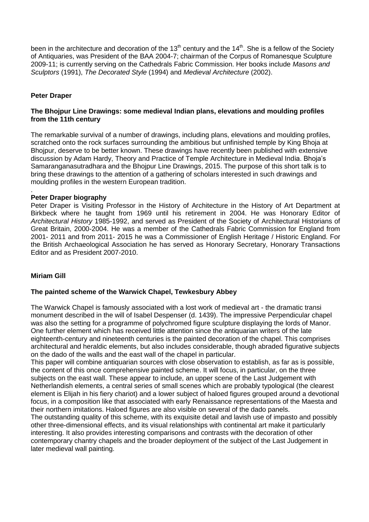been in the architecture and decoration of the  $13<sup>th</sup>$  century and the  $14<sup>th</sup>$ . She is a fellow of the Society of Antiquaries, was President of the BAA 2004-7; chairman of the Corpus of Romanesque Sculpture 2009-11; is currently serving on the Cathedrals Fabric Commission. Her books include *Masons and Sculptors* (1991), *The Decorated Style* (1994) and *Medieval Architecture* (2002).

# **Peter Draper**

# **The Bhojpur Line Drawings: some medieval Indian plans, elevations and moulding profiles from the 11th century**

The remarkable survival of a number of drawings, including plans, elevations and moulding profiles, scratched onto the rock surfaces surrounding the ambitious but unfinished temple by King Bhoja at Bhojpur, deserve to be better known. These drawings have recently been published with extensive discussion by Adam Hardy, Theory and Practice of Temple Architecture in Medieval India. Bhoja's Samaranganasutradhara and the Bhojpur Line Drawings, 2015. The purpose of this short talk is to bring these drawings to the attention of a gathering of scholars interested in such drawings and moulding profiles in the western European tradition.

#### . **Peter Draper biography**

Peter Draper is Visiting Professor in the History of Architecture in the History of Art Department at Birkbeck where he taught from 1969 until his retirement in 2004. He was Honorary Editor of *Architectural History* 1985-1992, and served as President of the Society of Architectural Historians of Great Britain, 2000-2004. He was a member of the Cathedrals Fabric Commission for England from 2001- 2011 and from 2011- 2015 he was a Commissioner of English Heritage / Historic England. For the British Archaeological Association he has served as Honorary Secretary, Honorary Transactions Editor and as President 2007-2010.

# **Miriam Gill**

# **The painted scheme of the Warwick Chapel, Tewkesbury Abbey**

The Warwick Chapel is famously associated with a lost work of medieval art - the dramatic transi monument described in the will of Isabel Despenser (d. 1439). The impressive Perpendicular chapel was also the setting for a programme of polychromed figure sculpture displaying the lords of Manor. One further element which has received little attention since the antiquarian writers of the late eighteenth-century and nineteenth centuries is the painted decoration of the chapel. This comprises architectural and heraldic elements, but also includes considerable, though abraded figurative subjects on the dado of the walls and the east wall of the chapel in particular.

This paper will combine antiquarian sources with close observation to establish, as far as is possible, the content of this once comprehensive painted scheme. It will focus, in particular, on the three subjects on the east wall. These appear to include, an upper scene of the Last Judgement with Netherlandish elements, a central series of small scenes which are probably typological (the clearest element is Elijah in his fiery chariot) and a lower subject of haloed figures grouped around a devotional focus, in a composition like that associated with early Renaissance representations of the Maesta and their northern imitations. Haloed figures are also visible on several of the dado panels.

The outstanding quality of this scheme, with its exquisite detail and lavish use of impasto and possibly other three-dimensional effects, and its visual relationships with continental art make it particularly interesting. It also provides interesting comparisons and contrasts with the decoration of other contemporary chantry chapels and the broader deployment of the subject of the Last Judgement in later medieval wall painting.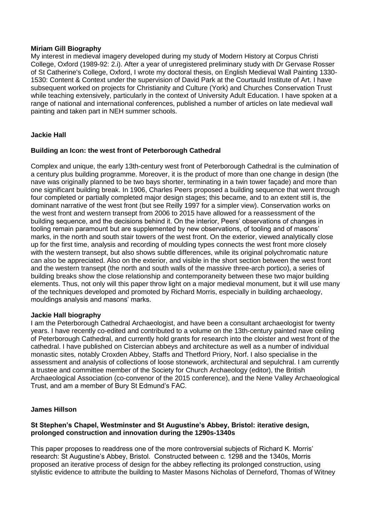#### **Miriam Gill Biography**

My interest in medieval imagery developed during my study of Modern History at Corpus Christi College, Oxford (1989-92: 2.i). After a year of unregistered preliminary study with Dr Gervase Rosser of St Catherine's College, Oxford, I wrote my doctoral thesis, on English Medieval Wall Painting 1330- 1530: Content & Context under the supervision of David Park at the Courtauld Institute of Art. I have subsequent worked on projects for Christianity and Culture (York) and Churches Conservation Trust while teaching extensively, particularly in the context of University Adult Education. I have spoken at a range of national and international conferences, published a number of articles on late medieval wall painting and taken part in NEH summer schools.

# **Jackie Hall**

# **Building an Icon: the west front of Peterborough Cathedral**

Complex and unique, the early 13th-century west front of Peterborough Cathedral is the culmination of a century plus building programme. Moreover, it is the product of more than one change in design (the nave was originally planned to be two bays shorter, terminating in a twin tower façade) and more than one significant building break. In 1906, Charles Peers proposed a building sequence that went through four completed or partially completed major design stages; this became, and to an extent still is, the dominant narrative of the west front (but see Reilly 1997 for a simpler view). Conservation works on the west front and western transept from 2006 to 2015 have allowed for a reassessment of the building sequence, and the decisions behind it. On the interior, Peers' observations of changes in tooling remain paramount but are supplemented by new observations, of tooling and of masons' marks, in the north and south stair towers of the west front. On the exterior, viewed analytically close up for the first time, analysis and recording of moulding types connects the west front more closely with the western transept, but also shows subtle differences, while its original polychromatic nature can also be appreciated. Also on the exterior, and visible in the short section between the west front and the western transept (the north and south walls of the massive three-arch portico), a series of building breaks show the close relationship and contemporaneity between these two major building elements. Thus, not only will this paper throw light on a major medieval monument, but it will use many of the techniques developed and promoted by Richard Morris, especially in building archaeology, mouldings analysis and masons' marks.

#### **Jackie Hall biography**

I am the Peterborough Cathedral Archaeologist, and have been a consultant archaeologist for twenty years. I have recently co-edited and contributed to a volume on the 13th-century painted nave ceiling of Peterborough Cathedral, and currently hold grants for research into the cloister and west front of the cathedral. I have published on Cistercian abbeys and architecture as well as a number of individual monastic sites, notably Croxden Abbey, Staffs and Thetford Priory, Norf. I also specialise in the assessment and analysis of collections of loose stonework, architectural and sepulchral. I am currently a trustee and committee member of the Society for Church Archaeology (editor), the British Archaeological Association (co-convenor of the 2015 conference), and the Nene Valley Archaeological Trust, and am a member of Bury St Edmund's FAC.

# **James Hillson**

#### **St Stephen's Chapel, Westminster and St Augustine's Abbey, Bristol: iterative design, prolonged construction and innovation during the 1290s-1340s**

This paper proposes to readdress one of the more controversial subjects of Richard K. Morris' research: St Augustine's Abbey, Bristol. Constructed between c. 1298 and the 1340s, Morris proposed an iterative process of design for the abbey reflecting its prolonged construction, using stylistic evidence to attribute the building to Master Masons Nicholas of Derneford, Thomas of Witney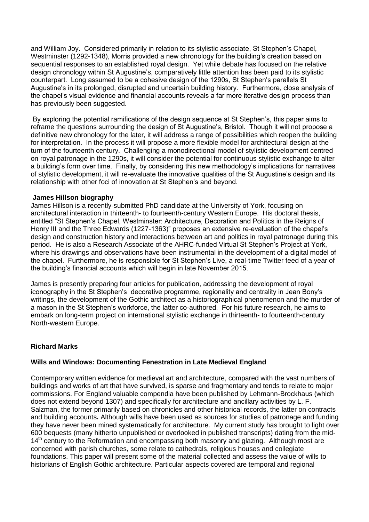and William Joy. Considered primarily in relation to its stylistic associate, St Stephen's Chapel, Westminster (1292-1348), Morris provided a new chronology for the building's creation based on sequential responses to an established royal design. Yet while debate has focused on the relative design chronology within St Augustine's, comparatively little attention has been paid to its stylistic counterpart. Long assumed to be a cohesive design of the 1290s, St Stephen's parallels St Augustine's in its prolonged, disrupted and uncertain building history. Furthermore, close analysis of the chapel's visual evidence and financial accounts reveals a far more iterative design process than has previously been suggested.

By exploring the potential ramifications of the design sequence at St Stephen's, this paper aims to reframe the questions surrounding the design of St Augustine's, Bristol. Though it will not propose a definitive new chronology for the later, it will address a range of possibilities which reopen the building for interpretation. In the process it will propose a more flexible model for architectural design at the turn of the fourteenth century. Challenging a monodirectional model of stylistic development centred on royal patronage in the 1290s, it will consider the potential for continuous stylistic exchange to alter a building's form over time. Finally, by considering this new methodology's implications for narratives of stylistic development, it will re-evaluate the innovative qualities of the St Augustine's design and its relationship with other foci of innovation at St Stephen's and beyond.

#### **James Hillson biography**

James Hillson is a recently-submitted PhD candidate at the University of York, focusing on architectural interaction in thirteenth- to fourteenth-century Western Europe. His doctoral thesis, entitled "St Stephen's Chapel, Westminster: Architecture, Decoration and Politics in the Reigns of Henry III and the Three Edwards (1227-1363)" proposes an extensive re-evaluation of the chapel's design and construction history and interactions between art and politics in royal patronage during this period. He is also a Research Associate of the AHRC-funded Virtual St Stephen's Project at York, where his drawings and observations have been instrumental in the development of a digital model of the chapel. Furthermore, he is responsible for St Stephen's Live, a real-time Twitter feed of a year of the building's financial accounts which will begin in late November 2015.

James is presently preparing four articles for publication, addressing the development of royal iconography in the St Stephen's decorative programme, regionality and centrality in Jean Bony's writings, the development of the Gothic architect as a historiographical phenomenon and the murder of a mason in the St Stephen's workforce, the latter co-authored. For his future research, he aims to embark on long-term project on international stylistic exchange in thirteenth- to fourteenth-century North-western Europe.

# **Richard Marks**

# **Wills and Windows: Documenting Fenestration in Late Medieval England**

Contemporary written evidence for medieval art and architecture, compared with the vast numbers of buildings and works of art that have survived, is sparse and fragmentary and tends to relate to major commissions. For England valuable compendia have been published by Lehmann-Brockhaus (which does not extend beyond 1307) and specifically for architecture and ancillary activities by L. F. Salzman, the former primarily based on chronicles and other historical records, the latter on contracts and building accounts**.** Although wills have been used as sources for studies of patronage and funding they have never been mined systematically for architecture. My current study has brought to light over 600 bequests (many hitherto unpublished or overlooked in published transcripts) dating from the mid-14<sup>th</sup> century to the Reformation and encompassing both masonry and glazing. Although most are concerned with parish churches, some relate to cathedrals, religious houses and collegiate foundations. This paper will present some of the material collected and assess the value of wills to historians of English Gothic architecture. Particular aspects covered are temporal and regional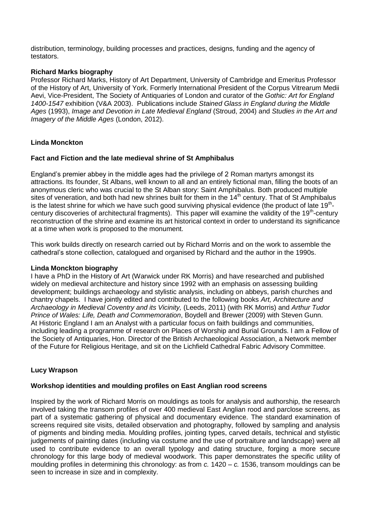distribution, terminology, building processes and practices, designs, funding and the agency of testators.

# **Richard Marks biography**

Professor Richard Marks, History of Art Department, University of Cambridge and Emeritus Professor of the History of Art, University of York. Formerly International President of the Corpus Vitrearum Medii Aevi, Vice-President, The Society of Antiquaries of London and curator of the *Gothic: Art for England 1400-1547* exhibition (V&A 2003). Publications include *Stained Glass in England during the Middle Ages* (1993), *Image and Devotion in Late Medieval England* (Stroud, 2004) and *Studies in the Art and Imagery of the Middle Ages* (London, 2012).

# **Linda Monckton**

#### **Fact and Fiction and the late medieval shrine of St Amphibalus**

England's premier abbey in the middle ages had the privilege of 2 Roman martyrs amongst its attractions. Its founder, St Albans, well known to all and an entirely fictional man, filling the boots of an anonymous cleric who was crucial to the St Alban story: Saint Amphibalus. Both produced multiple sites of veneration, and both had new shrines built for them in the 14<sup>th</sup> century. That of St Amphibalus is the latest shrine for which we have such good surviving physical evidence (the product of late 19<sup>th</sup>century discoveries of architectural fragments). This paper will examine the validity of the 19<sup>th</sup>-century reconstruction of the shrine and examine its art historical context in order to understand its significance at a time when work is proposed to the monument.

This work builds directly on research carried out by Richard Morris and on the work to assemble the cathedral's stone collection, catalogued and organised by Richard and the author in the 1990s.

# **Linda Monckton biography**

I have a PhD in the History of Art (Warwick under RK Morris) and have researched and published widely on medieval architecture and history since 1992 with an emphasis on assessing building development; buildings archaeology and stylistic analysis, including on abbeys, parish churches and chantry chapels. I have jointly edited and contributed to the following books *Art, Architecture and Archaeology in Medieval Coventry and its Vicinity,* (Leeds, 2011) (with RK Morris) and *Arthur Tudor Prince of Wales: Life, Death and Commemoration*, Boydell and Brewer (2009) with Steven Gunn. At Historic England I am an Analyst with a particular focus on faith buildings and communities, including leading a programme of research on Places of Worship and Burial Grounds. I am a Fellow of the Society of Antiquaries, Hon. Director of the British Archaeological Association, a Network member of the Future for Religious Heritage, and sit on the Lichfield Cathedral Fabric Advisory Committee.

# **Lucy Wrapson**

# **Workshop identities and moulding profiles on East Anglian rood screens**

Inspired by the work of Richard Morris on mouldings as tools for analysis and authorship, the research involved taking the transom profiles of over 400 medieval East Anglian rood and parclose screens, as part of a systematic gathering of physical and documentary evidence. The standard examination of screens required site visits, detailed observation and photography, followed by sampling and analysis of pigments and binding media. Moulding profiles, jointing types, carved details, technical and stylistic judgements of painting dates (including via costume and the use of portraiture and landscape) were all used to contribute evidence to an overall typology and dating structure, forging a more secure chronology for this large body of medieval woodwork. This paper demonstrates the specific utility of moulding profiles in determining this chronology: as from *c.* 1420 – *c.* 1536, transom mouldings can be seen to increase in size and in complexity.